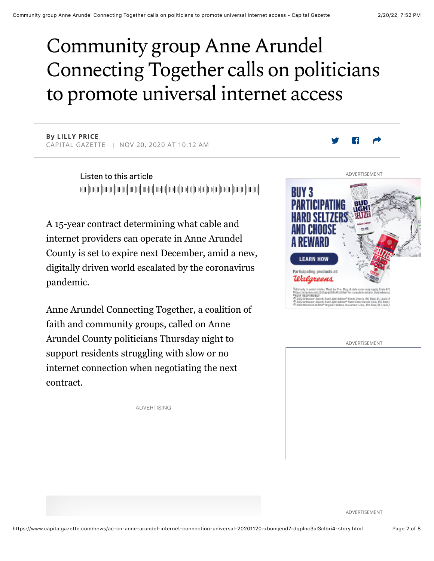# Community group Anne Arundel Connecting Together calls on politicians to promote universal internet access

**By LILLY PRICE** CAPITAL GAZETTE | NOV 20, 2020 AT 10:12 AM

> Listen to this article իկային ժովիական իրական իրակի օրերի այլ նախագահ է կարող է այլ այլ նախագահ է այլ այլ այլ այլ այլ այլ այլ այլ այլ

A 15-year contract determining what cable and internet providers can operate in Anne Arundel County is set to expire next December, amid a new, digitally driven world escalated by the coronavirus pandemic.

Anne Arundel Connecting Together, a coalition of faith and community groups, called on Anne Arundel County politicians Thursday night to support residents struggling with slow or no internet connection when negotiating the next contract.

ADVERTISING



ADVERTISEMENT

ADVERTISEMENT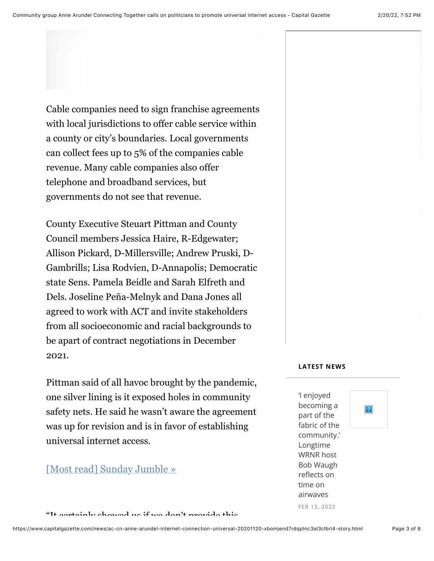Cable companies need to sign franchise agreements with local jurisdictions to offer cable service within a county or city's boundaries. Local governments can collect fees up to 5% of the companies cable revenue. Many cable companies also offer telephone and broadband services, but

governments do not see that revenue.

County Executive Steuart Pittman and County Council members Jessica Haire, R-Edgewater; Allison Pickard, D-Millersville; Andrew Pruski, D-Gambrills; Lisa Rodvien, D-Annapolis; Democratic state Sens. Pamela Beidle and Sarah Elfreth and Dels. Joseline Peña-Melnyk and Dana Jones all agreed to work with ACT and invite stakeholders from all socioeconomic and racial backgrounds to be apart of contract negotiations in December 2021.

Pittman said of all havoc brought by the pandemic, one silver lining is it exposed holes in community safety nets. He said he wasn't aware the agreement was up for revision and is in favor of establishing universal internet access.

# [Most read] Sunday Jumble »

#### "It containly showed us if we don't provide this

#### **LATEST NEWS**

'l enjoyed becoming a part of the fabric of the community.' Longtime WRNR host Bob Waugh reflects on time on airwayes FEB 13, 2022

 $|?|$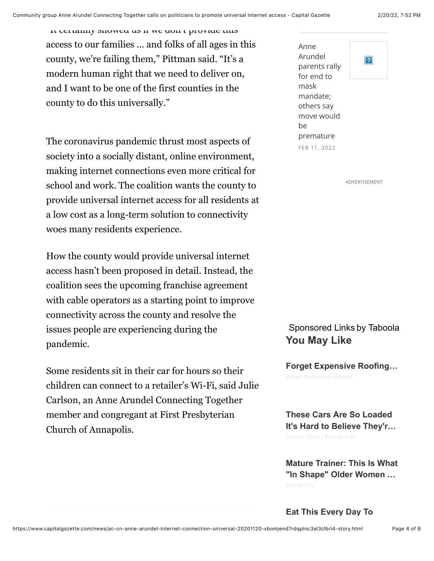It certainly showed us if we don't provide this access to our families ... and folks of all ages in this county, we're failing them," Pittman said. "It's a modern human right that we need to deliver on, and I want to be one of the first counties in the county to do this universally."

The coronavirus pandemic thrust most aspects of society into a socially distant, online environment, making internet connections even more critical for school and work. The coalition wants the county to provide universal internet access for all residents at a low cost as a long-term solution to connectivity woes many residents experience.

How the county would provide universal internet access hasn't been proposed in detail. Instead, the coalition sees the upcoming franchise agreement with cable operators as a starting point to improve connectivity across the county and resolve the issues people are experiencing during the pandemic.

Some residents sit in their car for hours so their children can connect to a retailer's Wi-Fi, said Julie Carlson, an Anne Arundel Connecting Together member and congregant at First Presbyterian Church of Annapolis.



ADVERTISEMENT

### Sponsored Links by Taboola **You May Like**

**Forget Expensive Roofing…**

**These Cars Are So Loaded It's Hard to Believe They'r…**

**Mature Trainer: This Is What "In Shape" Older Women …**

**Eat This Every Day To**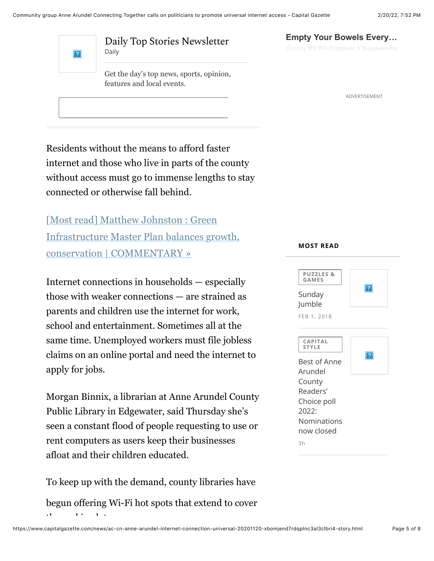| ? | Daily Top Stories Newsletter<br>Daily                                  |
|---|------------------------------------------------------------------------|
|   | Get the day's top news, sports, opinion,<br>features and local events. |
|   |                                                                        |

Residents without the means to afford faster internet and those who live in parts of the county without access must go to immense lengths to stay connected or otherwise fall behind.

[Most read] Matthew Johnston : Green Infrastructure Master Plan balances growth, conservation | COMMENTARY »

Internet connections in households — especially those with weaker connections — are strained as parents and children use the internet for work, school and entertainment. Sometimes all at the same time. Unemployed workers must file jobless claims on an online portal and need the internet to apply for jobs.

Morgan Binnix, a librarian at Anne Arundel County Public Library in Edgewater, said Thursday she's seen a constant flood of people requesting to use or rent computers as users keep their businesses afloat and their children educated.

To keep up with the demand, county libraries have begun offering Wi-Fi hot spots that extend to cover  $t_{\rm{eff}}$  and parking lot.

# **Empty Your Bowels Every…**

ADVERTISEMENT

#### **MOST READ**